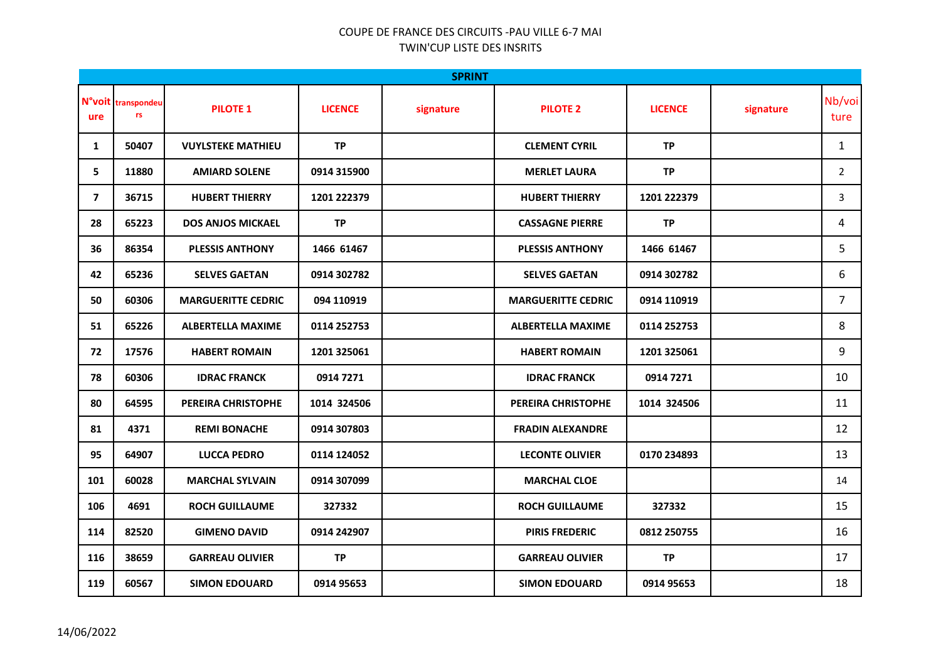## COUPE DE FRANCE DES CIRCUITS -PAU VILLE 6-7 MAI TWIN'CUP LISTE DES INSRITS

| <b>SPRINT</b>  |                          |                           |                |           |                           |                |           |                |  |  |  |
|----------------|--------------------------|---------------------------|----------------|-----------|---------------------------|----------------|-----------|----------------|--|--|--|
| ure            | N°voit transpondeu<br>rs | <b>PILOTE 1</b>           | <b>LICENCE</b> | signature | <b>PILOTE 2</b>           | <b>LICENCE</b> | signature | Nb/voi<br>ture |  |  |  |
| 1              | 50407                    | <b>VUYLSTEKE MATHIEU</b>  | <b>TP</b>      |           | <b>CLEMENT CYRIL</b>      | <b>TP</b>      |           | $\mathbf{1}$   |  |  |  |
| 5              | 11880                    | <b>AMIARD SOLENE</b>      | 0914 315900    |           | <b>MERLET LAURA</b>       | <b>TP</b>      |           | $\overline{2}$ |  |  |  |
| $\overline{7}$ | 36715                    | <b>HUBERT THIERRY</b>     | 1201 222379    |           | <b>HUBERT THIERRY</b>     | 1201 222379    |           | 3              |  |  |  |
| 28             | 65223                    | <b>DOS ANJOS MICKAEL</b>  | <b>TP</b>      |           | <b>CASSAGNE PIERRE</b>    | <b>TP</b>      |           | 4              |  |  |  |
| 36             | 86354                    | <b>PLESSIS ANTHONY</b>    | 1466 61467     |           | <b>PLESSIS ANTHONY</b>    | 1466 61467     |           | 5              |  |  |  |
| 42             | 65236                    | <b>SELVES GAETAN</b>      | 0914 302782    |           | <b>SELVES GAETAN</b>      | 0914 302782    |           | 6              |  |  |  |
| 50             | 60306                    | <b>MARGUERITTE CEDRIC</b> | 094 110919     |           | <b>MARGUERITTE CEDRIC</b> | 0914 110919    |           | $\overline{7}$ |  |  |  |
| 51             | 65226                    | <b>ALBERTELLA MAXIME</b>  | 0114 252753    |           | <b>ALBERTELLA MAXIME</b>  | 0114 252753    |           | 8              |  |  |  |
| 72             | 17576                    | <b>HABERT ROMAIN</b>      | 1201 325061    |           | <b>HABERT ROMAIN</b>      | 1201 325061    |           | 9              |  |  |  |
| 78             | 60306                    | <b>IDRAC FRANCK</b>       | 0914 7271      |           | <b>IDRAC FRANCK</b>       | 0914 7271      |           | 10             |  |  |  |
| 80             | 64595                    | PEREIRA CHRISTOPHE        | 1014 324506    |           | PEREIRA CHRISTOPHE        | 1014 324506    |           | 11             |  |  |  |
| 81             | 4371                     | <b>REMI BONACHE</b>       | 0914 307803    |           | <b>FRADIN ALEXANDRE</b>   |                |           | 12             |  |  |  |
| 95             | 64907                    | LUCCA PEDRO               | 0114 124052    |           | <b>LECONTE OLIVIER</b>    | 0170 234893    |           | 13             |  |  |  |
| 101            | 60028                    | <b>MARCHAL SYLVAIN</b>    | 0914 307099    |           | <b>MARCHAL CLOE</b>       |                |           | 14             |  |  |  |
| 106            | 4691                     | <b>ROCH GUILLAUME</b>     | 327332         |           | <b>ROCH GUILLAUME</b>     | 327332         |           | 15             |  |  |  |
| 114            | 82520                    | <b>GIMENO DAVID</b>       | 0914 242907    |           | <b>PIRIS FREDERIC</b>     | 0812 250755    |           | 16             |  |  |  |
| 116            | 38659                    | <b>GARREAU OLIVIER</b>    | <b>TP</b>      |           | <b>GARREAU OLIVIER</b>    | <b>TP</b>      |           | 17             |  |  |  |
| 119            | 60567                    | <b>SIMON EDOUARD</b>      | 0914 95653     |           | <b>SIMON EDOUARD</b>      | 0914 95653     |           | 18             |  |  |  |